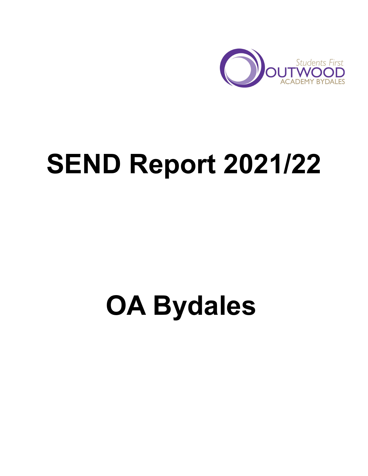

# **SEND Report 2021/22**

## **OA Bydales**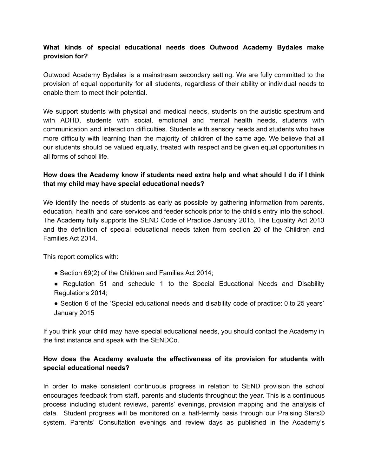## **What kinds of special educational needs does Outwood Academy Bydales make provision for?**

Outwood Academy Bydales is a mainstream secondary setting. We are fully committed to the provision of equal opportunity for all students, regardless of their ability or individual needs to enable them to meet their potential.

We support students with physical and medical needs, students on the autistic spectrum and with ADHD, students with social, emotional and mental health needs, students with communication and interaction difficulties. Students with sensory needs and students who have more difficulty with learning than the majority of children of the same age. We believe that all our students should be valued equally, treated with respect and be given equal opportunities in all forms of school life.

## **How does the Academy know if students need extra help and what should I do if I think that my child may have special educational needs?**

We identify the needs of students as early as possible by gathering information from parents, education, health and care services and feeder schools prior to the child's entry into the school. The Academy fully supports the SEND Code of Practice January 2015, The Equality Act 2010 and the definition of special educational needs taken from section 20 of the Children and Families Act 2014.

This report complies with:

- Section 69(2) of the Children and Families Act 2014;
- Regulation 51 and schedule 1 to the Special Educational Needs and Disability Regulations 2014;
- Section 6 of the 'Special educational needs and disability code of practice: 0 to 25 years' January 2015

If you think your child may have special educational needs, you should contact the Academy in the first instance and speak with the SENDCo.

## **How does the Academy evaluate the effectiveness of its provision for students with special educational needs?**

In order to make consistent continuous progress in relation to SEND provision the school encourages feedback from staff, parents and students throughout the year. This is a continuous process including student reviews, parents' evenings, provision mapping and the analysis of data. Student progress will be monitored on a half-termly basis through our Praising Stars© system, Parents' Consultation evenings and review days as published in the Academy's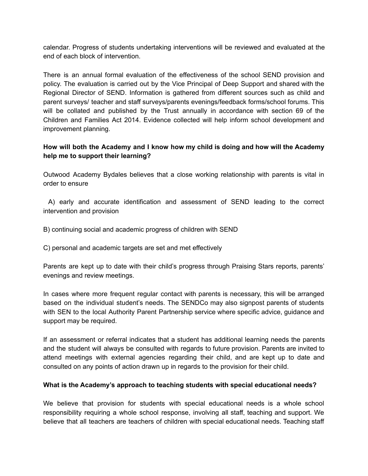calendar. Progress of students undertaking interventions will be reviewed and evaluated at the end of each block of intervention.

There is an annual formal evaluation of the effectiveness of the school SEND provision and policy. The evaluation is carried out by the Vice Principal of Deep Support and shared with the Regional Director of SEND. Information is gathered from different sources such as child and parent surveys/ teacher and staff surveys/parents evenings/feedback forms/school forums. This will be collated and published by the Trust annually in accordance with section 69 of the Children and Families Act 2014. Evidence collected will help inform school development and improvement planning.

## **How will both the Academy and I know how my child is doing and how will the Academy help me to support their learning?**

Outwood Academy Bydales believes that a close working relationship with parents is vital in order to ensure

A) early and accurate identification and assessment of SEND leading to the correct intervention and provision

B) continuing social and academic progress of children with SEND

C) personal and academic targets are set and met effectively

Parents are kept up to date with their child's progress through Praising Stars reports, parents' evenings and review meetings.

In cases where more frequent regular contact with parents is necessary, this will be arranged based on the individual student's needs. The SENDCo may also signpost parents of students with SEN to the local Authority Parent Partnership service where specific advice, guidance and support may be required.

If an assessment or referral indicates that a student has additional learning needs the parents and the student will always be consulted with regards to future provision. Parents are invited to attend meetings with external agencies regarding their child, and are kept up to date and consulted on any points of action drawn up in regards to the provision for their child.

#### **What is the Academy's approach to teaching students with special educational needs?**

We believe that provision for students with special educational needs is a whole school responsibility requiring a whole school response, involving all staff, teaching and support. We believe that all teachers are teachers of children with special educational needs. Teaching staff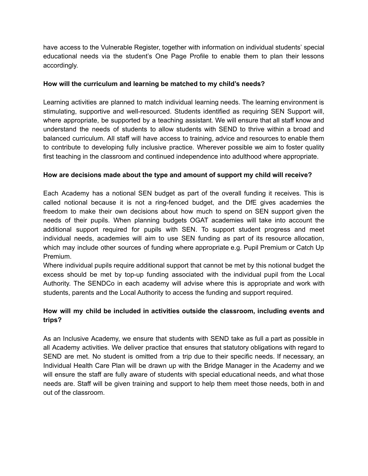have access to the Vulnerable Register, together with information on individual students' special educational needs via the student's One Page Profile to enable them to plan their lessons accordingly.

#### **How will the curriculum and learning be matched to my child's needs?**

Learning activities are planned to match individual learning needs. The learning environment is stimulating, supportive and well-resourced. Students identified as requiring SEN Support will, where appropriate, be supported by a teaching assistant. We will ensure that all staff know and understand the needs of students to allow students with SEND to thrive within a broad and balanced curriculum. All staff will have access to training, advice and resources to enable them to contribute to developing fully inclusive practice. Wherever possible we aim to foster quality first teaching in the classroom and continued independence into adulthood where appropriate.

#### **How are decisions made about the type and amount of support my child will receive?**

Each Academy has a notional SEN budget as part of the overall funding it receives. This is called notional because it is not a ring-fenced budget, and the DfE gives academies the freedom to make their own decisions about how much to spend on SEN support given the needs of their pupils. When planning budgets OGAT academies will take into account the additional support required for pupils with SEN. To support student progress and meet individual needs, academies will aim to use SEN funding as part of its resource allocation, which may include other sources of funding where appropriate e.g. Pupil Premium or Catch Up Premium.

Where individual pupils require additional support that cannot be met by this notional budget the excess should be met by top-up funding associated with the individual pupil from the Local Authority. The SENDCo in each academy will advise where this is appropriate and work with students, parents and the Local Authority to access the funding and support required.

## **How will my child be included in activities outside the classroom, including events and trips?**

As an Inclusive Academy, we ensure that students with SEND take as full a part as possible in all Academy activities. We deliver practice that ensures that statutory obligations with regard to SEND are met. No student is omitted from a trip due to their specific needs. If necessary, an Individual Health Care Plan will be drawn up with the Bridge Manager in the Academy and we will ensure the staff are fully aware of students with special educational needs, and what those needs are. Staff will be given training and support to help them meet those needs, both in and out of the classroom.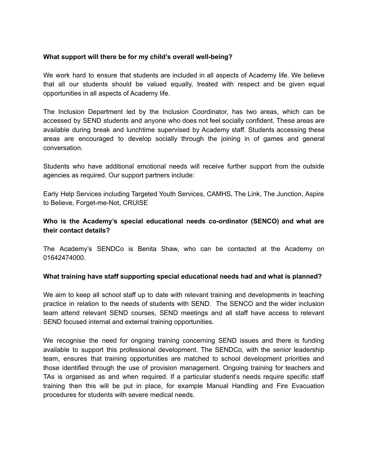#### **What support will there be for my child's overall well-being?**

We work hard to ensure that students are included in all aspects of Academy life. We believe that all our students should be valued equally, treated with respect and be given equal opportunities in all aspects of Academy life.

The Inclusion Department led by the Inclusion Coordinator, has two areas, which can be accessed by SEND students and anyone who does not feel socially confident. These areas are available during break and lunchtime supervised by Academy staff. Students accessing these areas are encouraged to develop socially through the joining in of games and general conversation.

Students who have additional emotional needs will receive further support from the outside agencies as required. Our support partners include:

Early Help Services including Targeted Youth Services, CAMHS, The Link, The Junction, Aspire to Believe, Forget-me-Not, CRUISE

## **Who is the Academy's special educational needs co-ordinator (SENCO) and what are their contact details?**

The Academy's SENDCo is Benita Shaw, who can be contacted at the Academy on 01642474000.

#### **What training have staff supporting special educational needs had and what is planned?**

We aim to keep all school staff up to date with relevant training and developments in teaching practice in relation to the needs of students with SEND. The SENCO and the wider inclusion team attend relevant SEND courses, SEND meetings and all staff have access to relevant SEND focused internal and external training opportunities.

We recognise the need for ongoing training concerning SEND issues and there is funding available to support this professional development. The SENDCo, with the senior leadership team, ensures that training opportunities are matched to school development priorities and those identified through the use of provision management. Ongoing training for teachers and TAs is organised as and when required. If a particular student's needs require specific staff training then this will be put in place, for example Manual Handling and Fire Evacuation procedures for students with severe medical needs.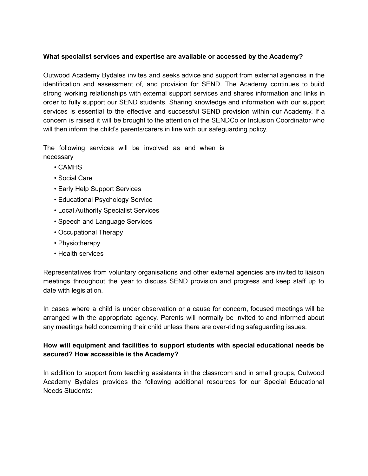### **What specialist services and expertise are available or accessed by the Academy?**

Outwood Academy Bydales invites and seeks advice and support from external agencies in the identification and assessment of, and provision for SEND. The Academy continues to build strong working relationships with external support services and shares information and links in order to fully support our SEND students. Sharing knowledge and information with our support services is essential to the effective and successful SEND provision within our Academy. If a concern is raised it will be brought to the attention of the SENDCo or Inclusion Coordinator who will then inform the child's parents/carers in line with our safeguarding policy.

The following services will be involved as and when is necessary

- CAMHS
- Social Care
- Early Help Support Services
- Educational Psychology Service
- Local Authority Specialist Services
- Speech and Language Services
- Occupational Therapy
- Physiotherapy
- Health services

Representatives from voluntary organisations and other external agencies are invited to liaison meetings throughout the year to discuss SEND provision and progress and keep staff up to date with legislation.

In cases where a child is under observation or a cause for concern, focused meetings will be arranged with the appropriate agency. Parents will normally be invited to and informed about any meetings held concerning their child unless there are over-riding safeguarding issues.

## **How will equipment and facilities to support students with special educational needs be secured? How accessible is the Academy?**

In addition to support from teaching assistants in the classroom and in small groups, Outwood Academy Bydales provides the following additional resources for our Special Educational Needs Students: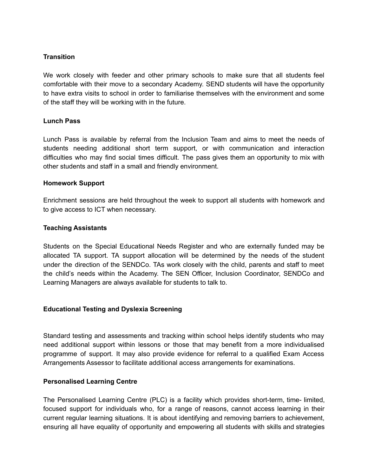#### **Transition**

We work closely with feeder and other primary schools to make sure that all students feel comfortable with their move to a secondary Academy. SEND students will have the opportunity to have extra visits to school in order to familiarise themselves with the environment and some of the staff they will be working with in the future.

#### **Lunch Pass**

Lunch Pass is available by referral from the Inclusion Team and aims to meet the needs of students needing additional short term support, or with communication and interaction difficulties who may find social times difficult. The pass gives them an opportunity to mix with other students and staff in a small and friendly environment.

#### **Homework Support**

Enrichment sessions are held throughout the week to support all students with homework and to give access to ICT when necessary.

#### **Teaching Assistants**

Students on the Special Educational Needs Register and who are externally funded may be allocated TA support. TA support allocation will be determined by the needs of the student under the direction of the SENDCo. TAs work closely with the child, parents and staff to meet the child's needs within the Academy. The SEN Officer, Inclusion Coordinator, SENDCo and Learning Managers are always available for students to talk to.

#### **Educational Testing and Dyslexia Screening**

Standard testing and assessments and tracking within school helps identify students who may need additional support within lessons or those that may benefit from a more individualised programme of support. It may also provide evidence for referral to a qualified Exam Access Arrangements Assessor to facilitate additional access arrangements for examinations.

#### **Personalised Learning Centre**

The Personalised Learning Centre (PLC) is a facility which provides short-term, time- limited, focused support for individuals who, for a range of reasons, cannot access learning in their current regular learning situations. It is about identifying and removing barriers to achievement, ensuring all have equality of opportunity and empowering all students with skills and strategies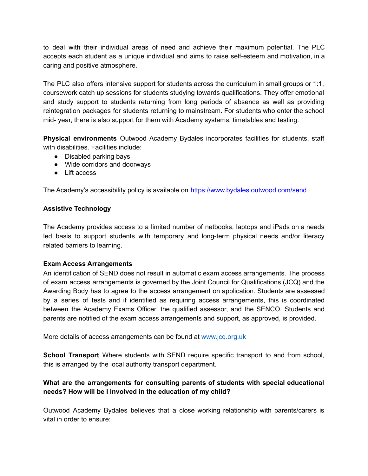to deal with their individual areas of need and achieve their maximum potential. The PLC accepts each student as a unique individual and aims to raise self-esteem and motivation, in a caring and positive atmosphere.

The PLC also offers intensive support for students across the curriculum in small groups or 1:1, coursework catch up sessions for students studying towards qualifications. They offer emotional and study support to students returning from long periods of absence as well as providing reintegration packages for students returning to mainstream. For students who enter the school mid- year, there is also support for them with Academy systems, timetables and testing.

**Physical environments** Outwood Academy Bydales incorporates facilities for students, staff with disabilities. Facilities include:

- Disabled parking bays
- Wide corridors and doorways
- Lift access

The Academy's accessibility policy is available on https://www.bydales.outwood.com/send

#### **Assistive Technology**

The Academy provides access to a limited number of netbooks, laptops and iPads on a needs led basis to support students with temporary and long-term physical needs and/or literacy related barriers to learning.

#### **Exam Access Arrangements**

An identification of SEND does not result in automatic exam access arrangements. The process of exam access arrangements is governed by the Joint Council for Qualifications (JCQ) and the Awarding Body has to agree to the access arrangement on application. Students are assessed by a series of tests and if identified as requiring access arrangements, this is coordinated between the Academy Exams Officer, the qualified assessor, and the SENCO. Students and parents are notified of the exam access arrangements and support, as approved, is provided.

More details of access arrangements can be found at www.jcq.org.uk

**School Transport** Where students with SEND require specific transport to and from school, this is arranged by the local authority transport department.

## **What are the arrangements for consulting parents of students with special educational needs? How will be I involved in the education of my child?**

Outwood Academy Bydales believes that a close working relationship with parents/carers is vital in order to ensure: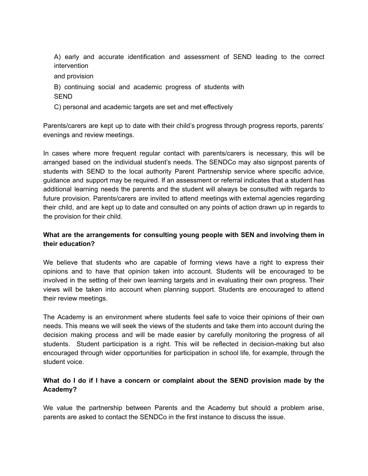A) early and accurate identification and assessment of SEND leading to the correct intervention

- and provision
- B) continuing social and academic progress of students with SEND
- C) personal and academic targets are set and met effectively

Parents/carers are kept up to date with their child's progress through progress reports, parents' evenings and review meetings.

In cases where more frequent regular contact with parents/carers is necessary, this will be arranged based on the individual student's needs. The SENDCo may also signpost parents of students with SEND to the local authority Parent Partnership service where specific advice, guidance and support may be required. If an assessment or referral indicates that a student has additional learning needs the parents and the student will always be consulted with regards to future provision. Parents/carers are invited to attend meetings with external agencies regarding their child, and are kept up to date and consulted on any points of action drawn up in regards to the provision for their child.

## **What are the arrangements for consulting young people with SEN and involving them in their education?**

We believe that students who are capable of forming views have a right to express their opinions and to have that opinion taken into account. Students will be encouraged to be involved in the setting of their own learning targets and in evaluating their own progress. Their views will be taken into account when planning support. Students are encouraged to attend their review meetings.

The Academy is an environment where students feel safe to voice their opinions of their own needs. This means we will seek the views of the students and take them into account during the decision making process and will be made easier by carefully monitoring the progress of all students. Student participation is a right. This will be reflected in decision-making but also encouraged through wider opportunities for participation in school life*,* for example, through the student voice.

## **What do I do if I have a concern or complaint about the SEND provision made by the Academy?**

We value the partnership between Parents and the Academy but should a problem arise, parents are asked to contact the SENDCo in the first instance to discuss the issue.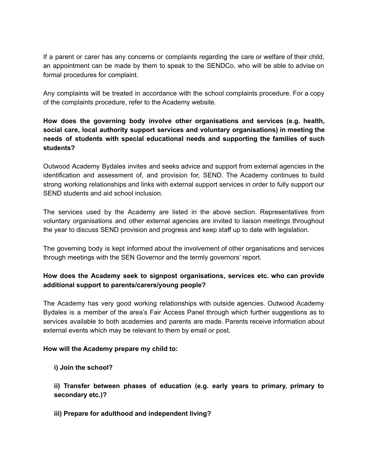If a parent or carer has any concerns or complaints regarding the care or welfare of their child, an appointment can be made by them to speak to the SENDCo, who will be able to advise on formal procedures for complaint.

Any complaints will be treated in accordance with the school complaints procedure. For a copy of the complaints procedure, refer to the Academy website.

## **How does the governing body involve other organisations and services (e.g. health, social care, local authority support services and voluntary organisations) in meeting the needs of students with special educational needs and supporting the families of such students?**

Outwood Academy Bydales invites and seeks advice and support from external agencies in the identification and assessment of, and provision for, SEND. The Academy continues to build strong working relationships and links with external support services in order to fully support our SEND students and aid school inclusion.

The services used by the Academy are listed in the above section. Representatives from voluntary organisations and other external agencies are invited to liaison meetings throughout the year to discuss SEND provision and progress and keep staff up to date with legislation.

The governing body is kept informed about the involvement of other organisations and services through meetings with the SEN Governor and the termly governors' report.

## **How does the Academy seek to signpost organisations, services etc. who can provide additional support to parents/carers/young people?**

The Academy has very good working relationships with outside agencies. Outwood Academy Bydales is a member of the area's Fair Access Panel through which further suggestions as to services available to both academies and parents are made. Parents receive information about external events which may be relevant to them by email or post.

## **How will the Academy prepare my child to:**

**i) Join the school?**

**ii) Transfer between phases of education (e.g. early years to primary, primary to secondary etc.)?**

**iii) Prepare for adulthood and independent living?**